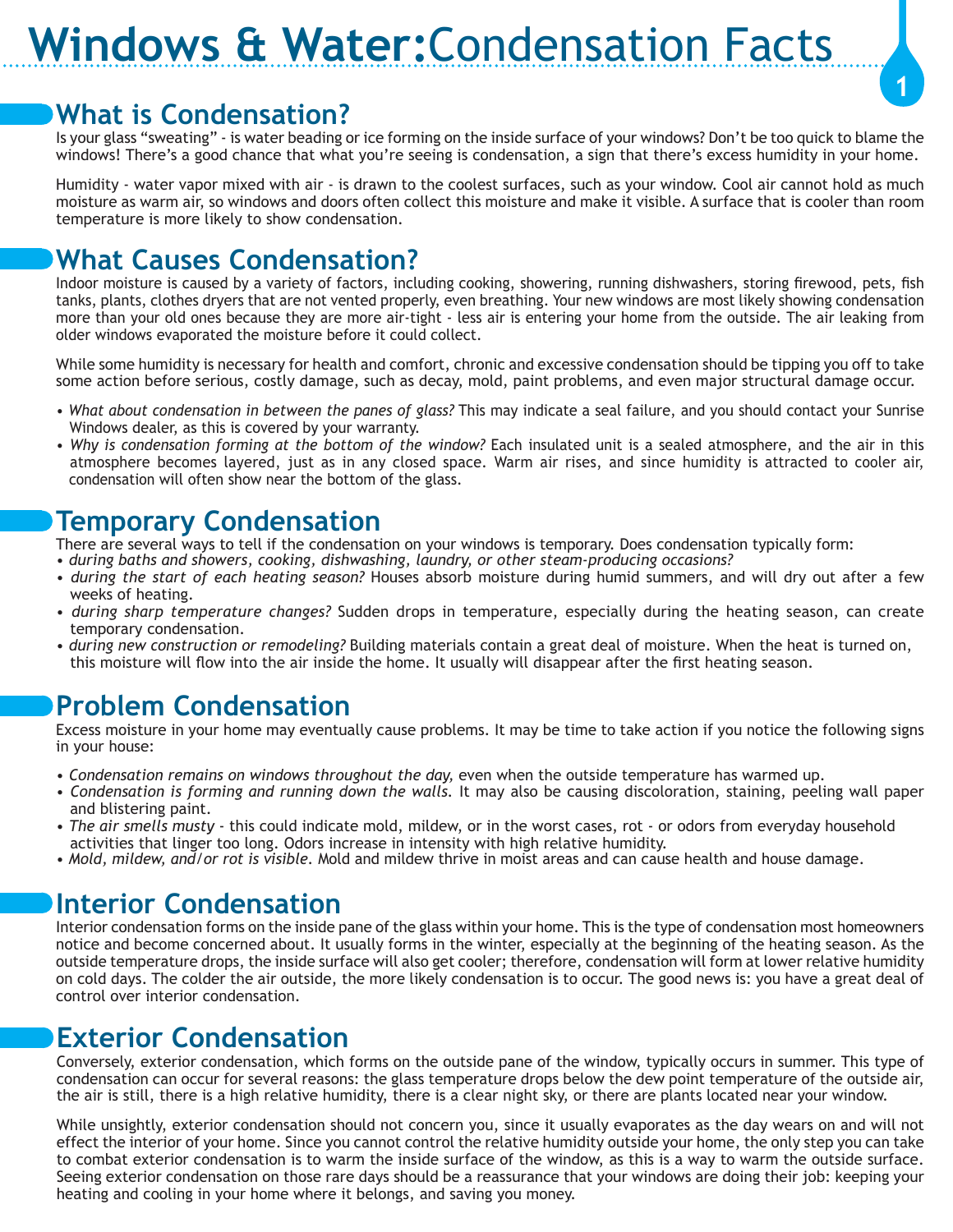## **Windows & Water:**Condensation Facts

#### **What is Condensation?**

Is your glass "sweating" - is water beading or ice forming on the inside surface of your windows? Don't be too quick to blame the windows! There's a good chance that what you're seeing is condensation, a sign that there's excess humidity in your home.

**1**

Humidity - water vapor mixed with air - is drawn to the coolest surfaces, such as your window. Cool air cannot hold as much moisture as warm air, so windows and doors often collect this moisture and make it visible. A surface that is cooler than room temperature is more likely to show condensation.

#### **What Causes Condensation?**

Indoor moisture is caused by a variety of factors, including cooking, showering, running dishwashers, storing firewood, pets, fish tanks, plants, clothes dryers that are not vented properly, even breathing. Your new windows are most likely showing condensation more than your old ones because they are more air-tight - less air is entering your home from the outside. The air leaking from older windows evaporated the moisture before it could collect.

While some humidity is necessary for health and comfort, chronic and excessive condensation should be tipping you off to take some action before serious, costly damage, such as decay, mold, paint problems, and even major structural damage occur.

- *What about condensation in between the panes of glass?* This may indicate a seal failure, and you should contact your Sunrise Windows dealer, as this is covered by your warranty.
- *Why is condensation forming at the bottom of the window?* Each insulated unit is a sealed atmosphere, and the air in this atmosphere becomes layered, just as in any closed space. Warm air rises, and since humidity is attracted to cooler air, condensation will often show near the bottom of the glass.

#### **Temporary Condensation**

There are several ways to tell if the condensation on your windows is temporary. Does condensation typically form: • *during baths and showers, cooking, dishwashing, laundry, or other steam-producing occasions?*

- 
- *during the start of each heating season?* Houses absorb moisture during humid summers, and will dry out after a few weeks of heating.
- *during sharp temperature changes?* Sudden drops in temperature, especially during the heating season, can create temporary condensation.
- *during new construction or remodeling?* Building materials contain a great deal of moisture. When the heat is turned on, this moisture will flow into the air inside the home. It usually will disappear after the first heating season.

## **Problem Condensation**

Excess moisture in your home may eventually cause problems. It may be time to take action if you notice the following signs in your house:

- *Condensation remains on windows throughout the day,* even when the outside temperature has warmed up.
- *Condensation is forming and running down the walls.* It may also be causing discoloration, staining, peeling wall paper and blistering paint.
- *The air smells musty* this could indicate mold, mildew, or in the worst cases, rot or odors from everyday household activities that linger too long. Odors increase in intensity with high relative humidity.
- *Mold, mildew, and/or rot is visible.* Mold and mildew thrive in moist areas and can cause health and house damage.

#### **Interior Condensation**

Interior condensation forms on the inside pane of the glass within your home. This is the type of condensation most homeowners notice and become concerned about. It usually forms in the winter, especially at the beginning of the heating season. As the outside temperature drops, the inside surface will also get cooler; therefore, condensation will form at lower relative humidity on cold days. The colder the air outside, the more likely condensation is to occur. The good news is: you have a great deal of control over interior condensation.

## **Exterior Condensation**

Conversely, exterior condensation, which forms on the outside pane of the window, typically occurs in summer. This type of condensation can occur for several reasons: the glass temperature drops below the dew point temperature of the outside air, the air is still, there is a high relative humidity, there is a clear night sky, or there are plants located near your window.

While unsightly, exterior condensation should not concern you, since it usually evaporates as the day wears on and will not effect the interior of your home. Since you cannot control the relative humidity outside your home, the only step you can take to combat exterior condensation is to warm the inside surface of the window, as this is a way to warm the outside surface. Seeing exterior condensation on those rare days should be a reassurance that your windows are doing their job: keeping your heating and cooling in your home where it belongs, and saving you money.